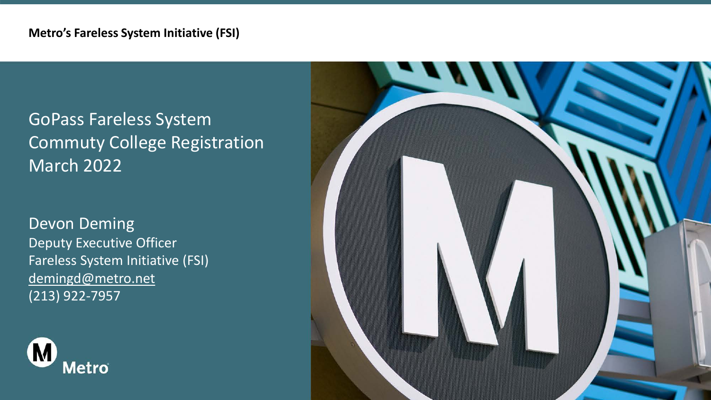## GoPass Fareless System Commuty College Registration March 2022

### Devon Deming Deputy Executive Officer Fareless System Initiative (FSI) [demingd@metro.net](mailto:demingd@metro.net) (213) 922-7957



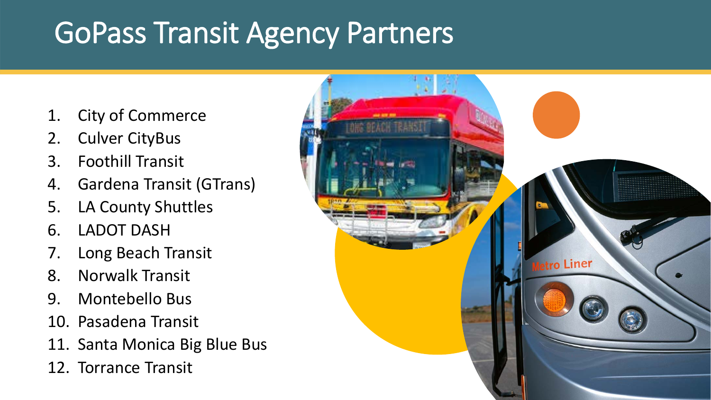# GoPass Transit Agency Partners

- 1. City of Commerce
- 2. Culver CityBus
- 3. Foothill Transit
- 4. Gardena Transit (GTrans)
- 5. LA County Shuttles
- 6. LADOT DASH
- 7. Long Beach Transit
- 8. Norwalk Transit
- 9. Montebello Bus
- 10. Pasadena Transit
- 11. Santa Monica Big Blue Bus
- 12. Torrance Transit

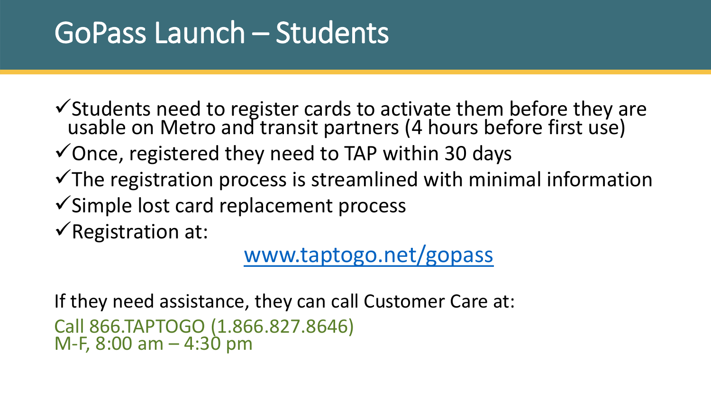# GoPass Launch – Students

Students need to register cards to activate them before they are usable on Metro and transit partners (4 hours before first use)

 $\checkmark$  Once, registered they need to TAP within 30 days

- $\checkmark$ The registration process is streamlined with minimal information
- $\checkmark$  Simple lost card replacement process

 $\sqrt{\mathsf{Reg}}$ istration at:

[www.taptogo.net/gopass](http://www.taptogo.net/gopass)

If they need assistance, they can call Customer Care at: Call 866.TAPTOGO (1.866.827.8646) M-F, 8:00 am – 4:30 pm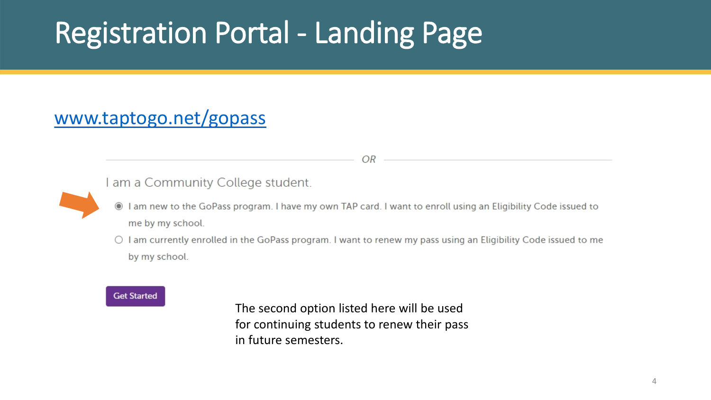# Registration Portal - Landing Page

### [www.taptogo.net/gopass](http://www.taptogo.net/gopass)

I am a Community College student.

I am new to the GoPass program. I have my own TAP card. I want to enroll using an Eligibility Code issued to me by my school.

OR -

O I am currently enrolled in the GoPass program. I want to renew my pass using an Eligibility Code issued to me by my school.

### **Get Started**

The second option listed here will be used for continuing students to renew their pass in future semesters.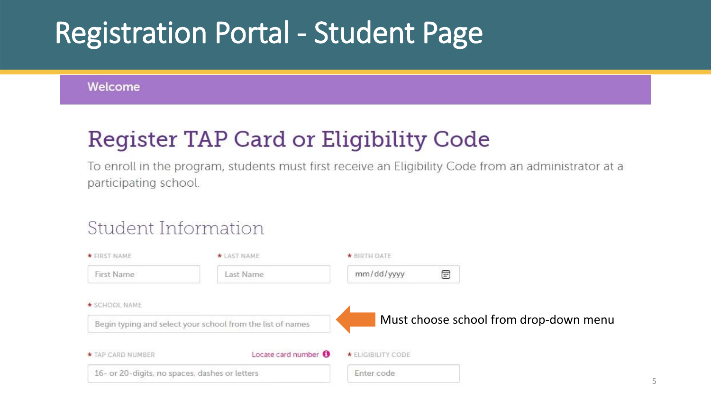# Registration Portal - Student Page

Welcome

## Register TAP Card or Eligibility Code

To enroll in the program, students must first receive an Eligibility Code from an administrator at a participating school.

### Student Information

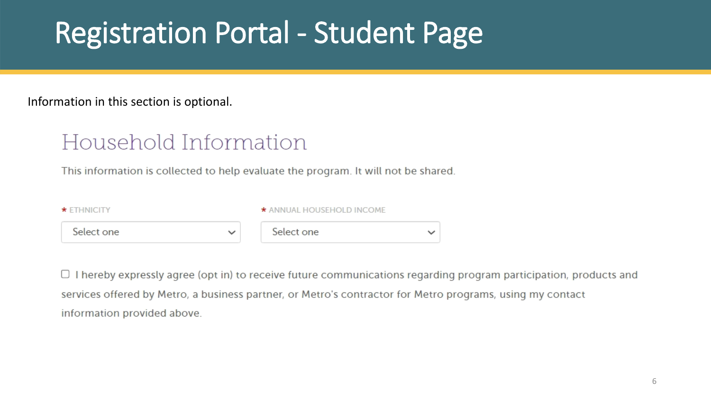# Registration Portal - Student Page

Information in this section is optional.

## Household Information

This information is collected to help evaluate the program. It will not be shared.

| $\star$ ETHNICITY | * ANNUAL HOUSEHOLD INCOME |   |  |
|-------------------|---------------------------|---|--|
| Select one        | Select one                | ື |  |

 $\Box$  I hereby expressly agree (opt in) to receive future communications regarding program participation, products and services offered by Metro, a business partner, or Metro's contractor for Metro programs, using my contact information provided above.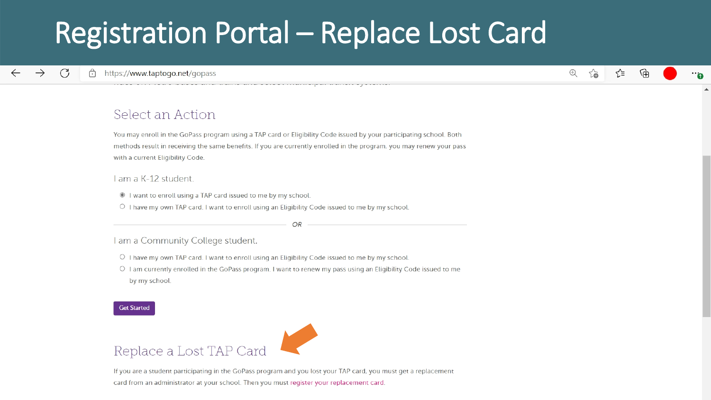# Registration Portal - Replace Lost Card

#### $\bigoplus$  $\sim$ ≺∕≒ দ্রি

### Select an Action

You may enroll in the GoPass program using a TAP card or Eligibility Code issued by your participating school. Both methods result in receiving the same benefits. If you are currently enrolled in the program, you may renew your pass with a current Eligibility Code.

### I am a K-12 student.

- I want to enroll using a TAP card issued to me by my school.
- O I have my own TAP card. I want to enroll using an Eligibility Code issued to me by my school.

OR

### I am a Community College student.

- O I have my own TAP card. I want to enroll using an Eligibility Code issued to me by my school.
- O I am currently enrolled in the GoPass program. I want to renew my pass using an Eligibility Code issued to me by my school.

#### **Get Started**



If you are a student participating in the GoPass program and you lost your TAP card, you must get a replacement card from an administrator at your school. Then you must register your replacement card.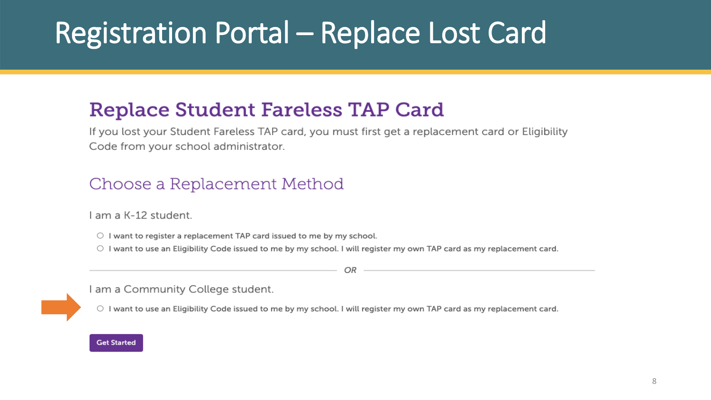# Registration Portal - Replace Lost Card

## **Replace Student Fareless TAP Card**

If you lost your Student Fareless TAP card, you must first get a replacement card or Eligibility Code from your school administrator.

### Choose a Replacement Method

I am a K-12 student.

 $\circ$  I want to register a replacement TAP card issued to me by my school.

O I want to use an Eligibility Code issued to me by my school. I will register my own TAP card as my replacement card.

OR

I am a Community College student.

O I want to use an Eligibility Code issued to me by my school. I will register my own TAP card as my replacement card.

#### **Get Started**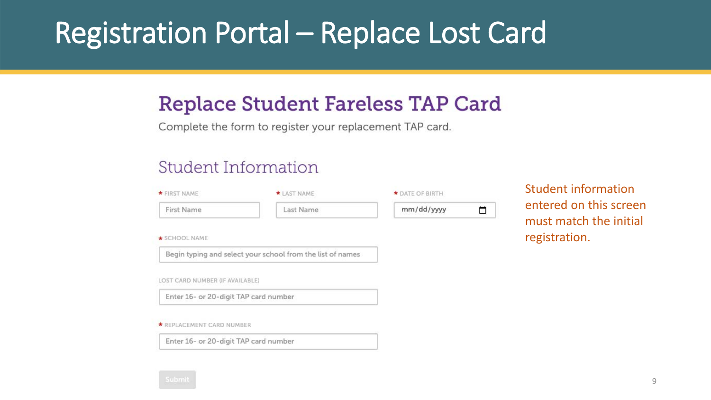# Registration Portal – Replace Lost Card

## **Replace Student Fareless TAP Card**

Complete the form to register your replacement TAP card.

### **Student Information**

| * FIRST NAME                          | * LAST NAME                                                | * DATE OF BIRTH |
|---------------------------------------|------------------------------------------------------------|-----------------|
| First Name                            | Last Name                                                  | mm/dd/yyyy<br>m |
| * SCHOOL NAME                         |                                                            |                 |
|                                       | Begin typing and select your school from the list of names |                 |
| LOST CARD NUMBER (IF AVAILABLE)       |                                                            |                 |
| Enter 16- or 20-digit TAP card number |                                                            |                 |
| * REPLACEMENT CARD NUMBER             |                                                            |                 |
|                                       |                                                            |                 |

Enter 16- or 20-digit TAP card number

Student information entered on this screen must match the initial registration.